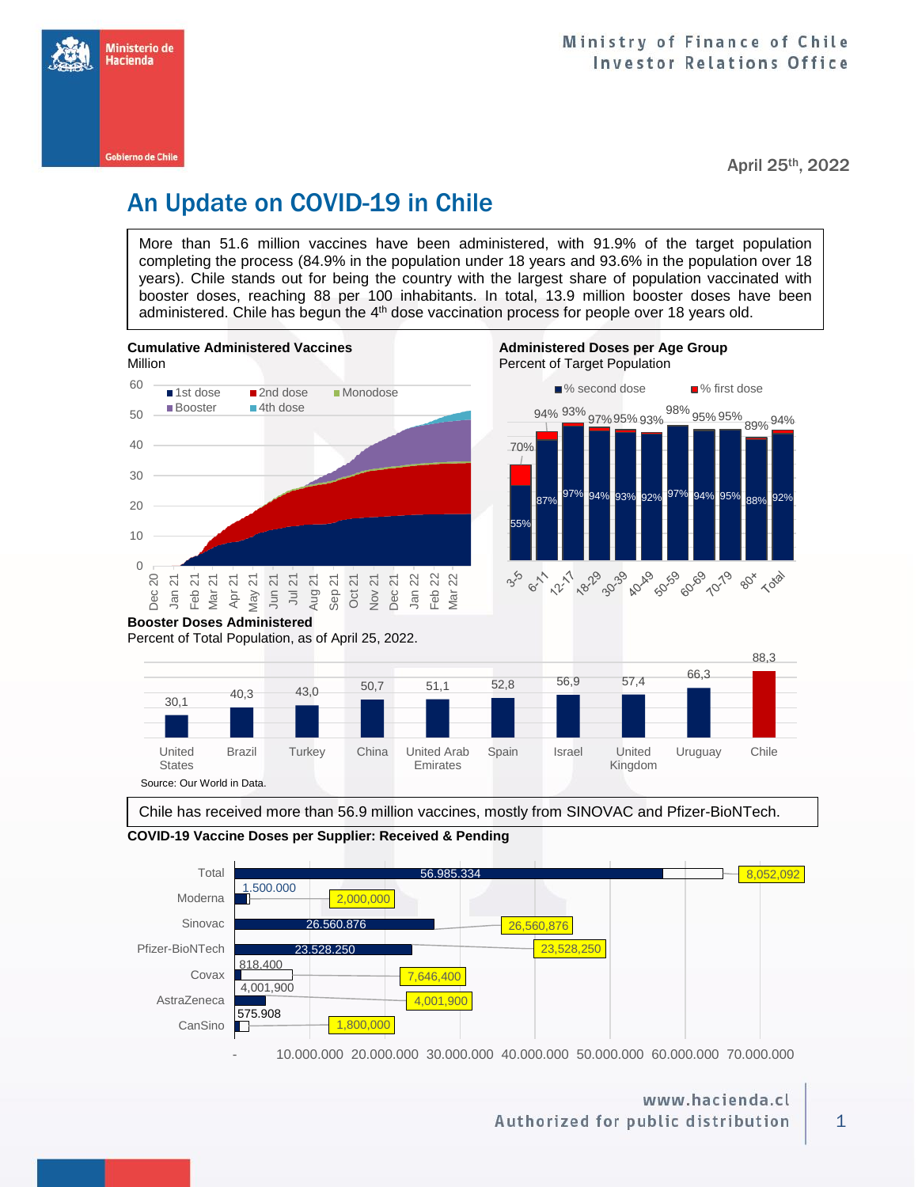

April 25th, 2022

# An Update on COVID-19 in Chile

More than 51.6 million vaccines have been administered, with 91.9% of the target population completing the process (84.9% in the population under 18 years and 93.6% in the population over 18 years). Chile stands out for being the country with the largest share of population vaccinated with booster doses, reaching 88 per 100 inhabitants. In total, 13.9 million booster doses have been administered. Chile has begun the 4<sup>th</sup> dose vaccination process for people over 18 years old.





Chile has received more than 56.9 million vaccines, mostly from SINOVAC and Pfizer-BioNTech.

## **COVID-19 Vaccine Doses per Supplier: Received & Pending**



- 10.000.000 20.000.000 30.000.000 40.000.000 50.000.000 60.000.000 70.000.000

# www.hacienda.cl Authorized for public distribution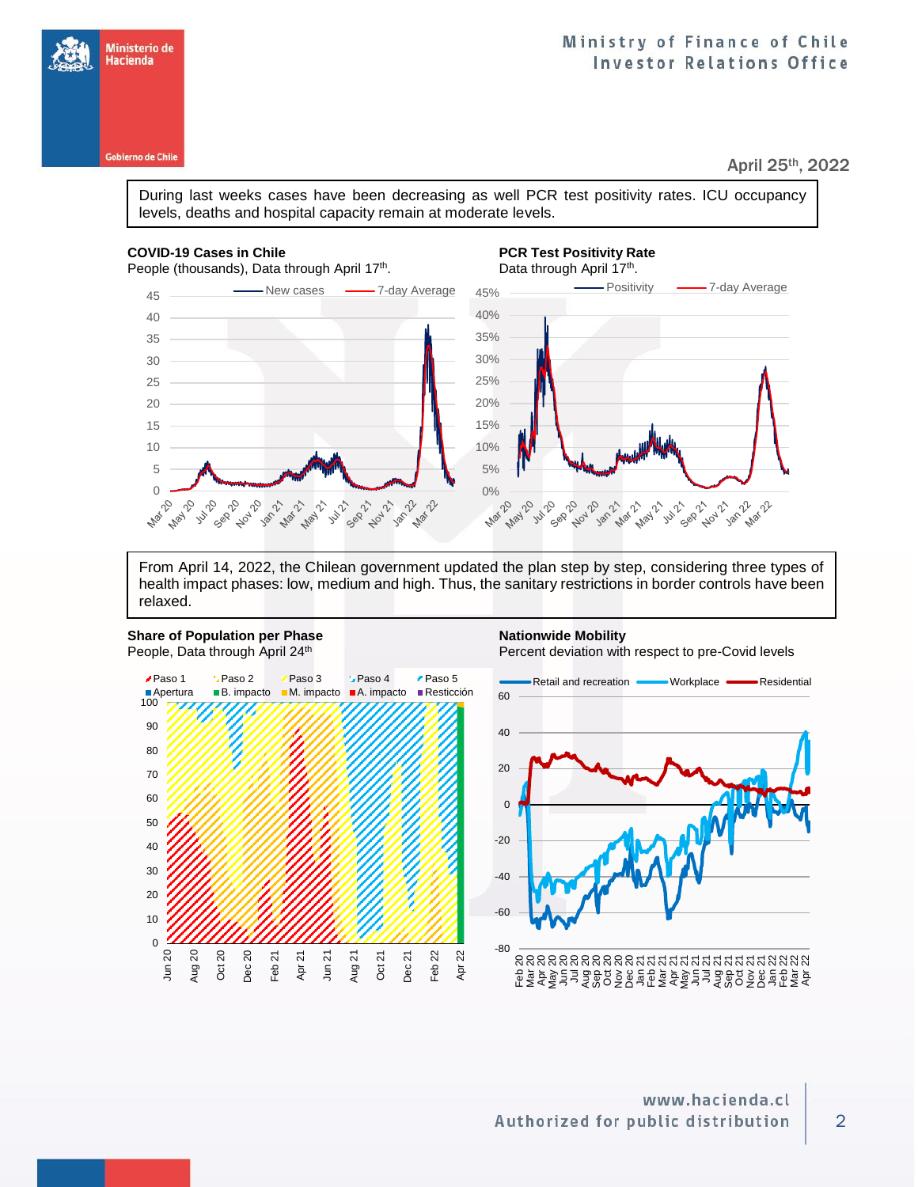# Ministry of Finance of Chile **Investor Relations Office**

April 25th, 2022

During last weeks cases have been decreasing as well PCR test positivity rates. ICU occupancy levels, deaths and hospital capacity remain at moderate levels.

## **COVID-19 Cases in Chile PCR Test Positivity Rate**

People (thousands), Data through April 17<sup>th</sup>.

# . Data through April 17<sup>th</sup>.



From April 14, 2022, the Chilean government updated the plan step by step, considering three types of health impact phases: low, medium and high. Thus, the sanitary restrictions in border controls have been relaxed.

### **Share of Population per Phase <b>Nationwide Mobility Nationwide Mobility** People, Data through April 24<sup>th</sup>

Percent deviation with respect to pre-Covid levels